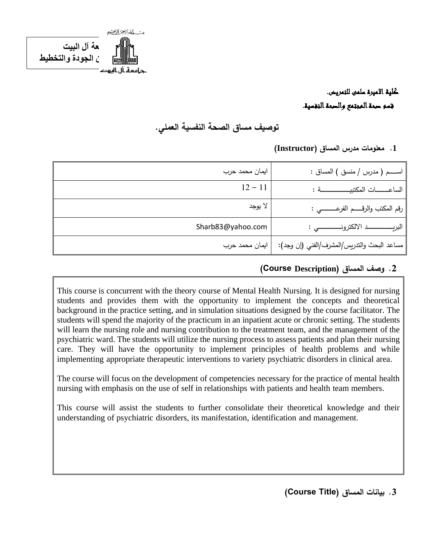

## كلية االميرة سلمى للتمريض. قسم صحة المجتمع والصحة النفسية.

## **توصيف مساق الصحة النفسية العملي.**

#### **.1 معلومات مدرس المساق )Instructor)**

| ايمان محمد حرب    | اســـم ( مدرس / منسق ) المساق :              |
|-------------------|----------------------------------------------|
| $12 - 11$         | الساعــــــات المكتبيــــــــــــــــة :     |
| لا يوجد           | رقم المكتب والرقـــــم الفرعــــــــــي :    |
| Sharb83@yahoo.com |                                              |
| ايمان محمد حرب    | مساعد البحث والتدريِس/المشرف/الفني (إن وجد): |

#### **.2 وصف المساق ) Description Course(**

This course is concurrent with the theory course of Mental Health Nursing. It is designed for nursing students and provides them with the opportunity to implement the concepts and theoretical background in the practice setting, and in simulation situations designed by the course facilitator. The students will spend the majority of the practicum in an inpatient acute or chronic setting. The students will learn the nursing role and nursing contribution to the treatment team, and the management of the psychiatric ward. The students will utilize the nursing process to assess patients and plan their nursing care. They will have the opportunity to implement principles of health problems and while implementing appropriate therapeutic interventions to variety psychiatric disorders in clinical area.

The course will focus on the development of competencies necessary for the practice of mental health nursing with emphasis on the use of self in relationships with patients and health team members.

This course will assist the students to further consolidate their theoretical knowledge and their understanding of psychiatric disorders, its manifestation, identification and management.

**.3 بيانات المساق )Title Course )**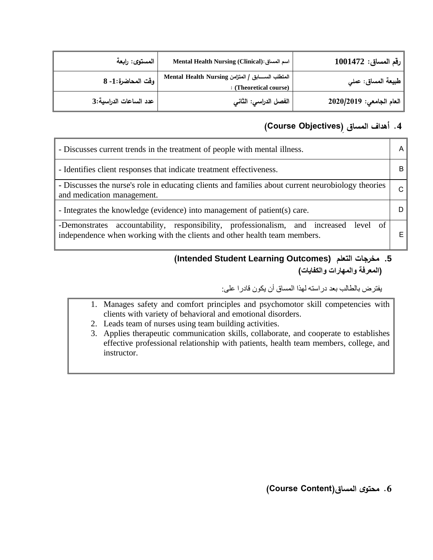| المستوى: رابعة         | Mental Health Nursing (Clinical): اسم المساق                                   | $ 1001472:100147$ رقم المساق |
|------------------------|--------------------------------------------------------------------------------|------------------------------|
| وقت المحاضرة:1- 8      | المتطلب الســـــابق / المتزامن Mental Health Nursing<br>: (Theoretical course) | طبيعة المساق: عملي           |
| عدد الساعات الدراسية:3 | الفصل الدراسي: الثاني                                                          | العام الجامعي: 2020/2019     |

#### **.4 أهداف المساق ) Objectives Course )**

| - Discusses current trends in the treatment of people with mental illness.                                                                                               |  |
|--------------------------------------------------------------------------------------------------------------------------------------------------------------------------|--|
| - Identifies client responses that indicate treatment effectiveness.                                                                                                     |  |
| - Discusses the nurse's role in educating clients and families about current neurobiology theories<br>and medication management.                                         |  |
| - Integrates the knowledge (evidence) into management of patient(s) care.                                                                                                |  |
| accountability, responsibility, professionalism, and increased<br>level of<br>-Demonstrates<br>independence when working with the clients and other health team members. |  |

#### **(Intended Student Learning Outcomes) التعلم مخرجات .5 )المعرفة والمهارات والكفايات(**

يفترض بالطالب بعد دراسته لهذا المساق أن يكون قادرا على:

- 1. Manages safety and comfort principles and psychomotor skill competencies with clients with variety of behavioral and emotional disorders.
- 2. Leads team of nurses using team building activities.
- 3. Applies therapeutic communication skills, collaborate, and cooperate to establishes effective professional relationship with patients, health team members, college, and instructor.

**.6 محتوى المساق)Content Course )**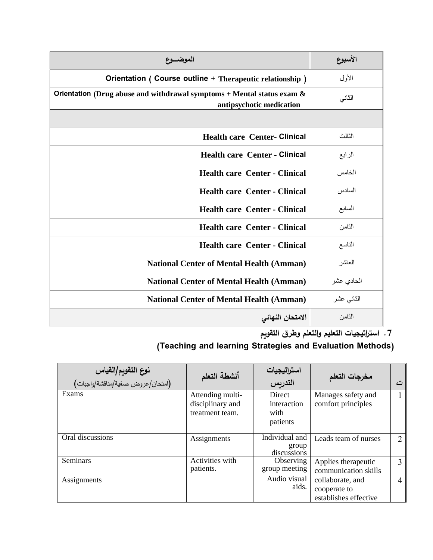| الموضـــوع                                                                                              | الأسبوع    |
|---------------------------------------------------------------------------------------------------------|------------|
| Orientation ( Course outline + Therapeutic relationship )                                               | الأول      |
| Orientation (Drug abuse and withdrawal symptoms $+$ Mental status exam $\&$<br>antipsychotic medication | الثاني     |
|                                                                                                         |            |
| <b>Health care Center- Clinical</b>                                                                     | الثالث     |
| <b>Health care Center - Clinical</b>                                                                    | الرابع     |
| <b>Health care Center - Clinical</b>                                                                    | الخامس     |
| <b>Health care Center - Clinical</b>                                                                    | السادس     |
| <b>Health care Center - Clinical</b>                                                                    | السابع     |
| <b>Health care Center - Clinical</b>                                                                    | الثامن     |
| <b>Health care Center - Clinical</b>                                                                    | التاسع     |
| <b>National Center of Mental Health (Amman)</b>                                                         | العاشر     |
| <b>National Center of Mental Health (Amman)</b>                                                         | الحادي عشر |
| <b>National Center of Mental Health (Amman)</b>                                                         | الثانى عشر |
| الامتحان النهائى                                                                                        | الثامن     |

**.7 است ارتيجيات التعليم والتعلم وطرق التقويم**

# **)Teaching and learning Strategies and Evaluation Methods(**

| <b>نوع التقويم/القياس</b><br>(امتحا <i>ن عر</i> وض صفية/مناقشة/واجبات) | أنشطة التعلم                                            | استراتيجيات<br>التدريس                    | مخرجات التعلم                                             | ٽ              |
|------------------------------------------------------------------------|---------------------------------------------------------|-------------------------------------------|-----------------------------------------------------------|----------------|
| Exams                                                                  | Attending multi-<br>disciplinary and<br>treatment team. | Direct<br>interaction<br>with<br>patients | Manages safety and<br>comfort principles                  |                |
| Oral discussions                                                       | Assignments                                             | Individual and<br>group<br>discussions    | Leads team of nurses                                      | $\overline{2}$ |
| Seminars                                                               | Activities with<br>patients.                            | Observing<br>group meeting                | Applies therapeutic<br>communication skills               | $\mathbf{3}$   |
| Assignments                                                            |                                                         | Audio visual<br>aids.                     | collaborate, and<br>cooperate to<br>establishes effective | 4              |